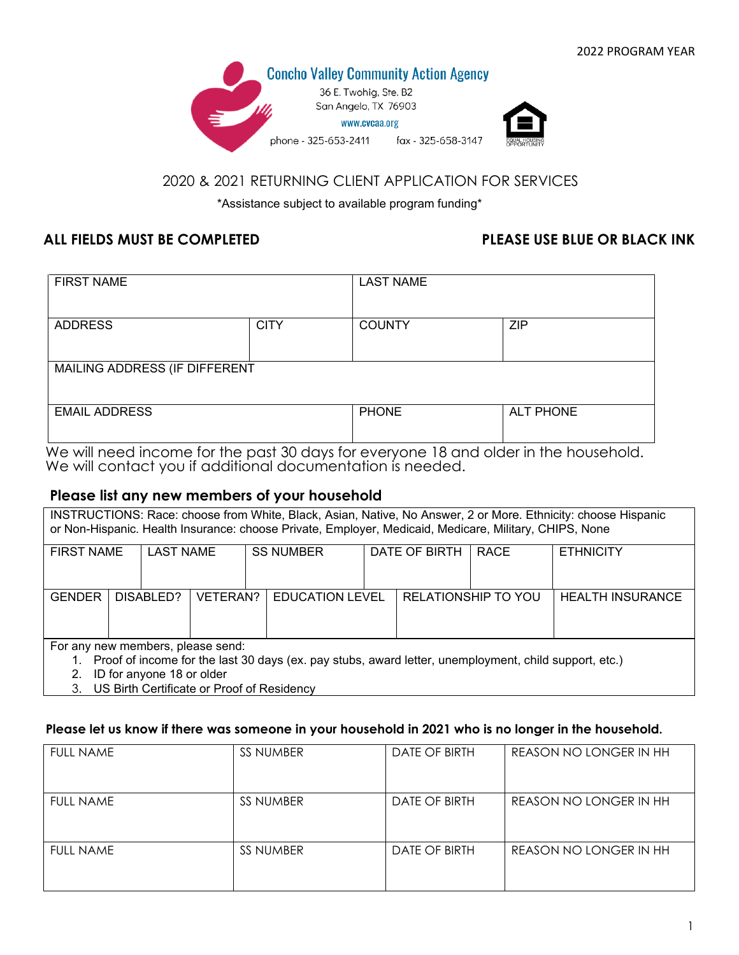

# 2020 & 2021 RETURNING CLIENT APPLICATION FOR SERVICES

\*Assistance subject to available program funding\*

## **ALL FIELDS MUST BE COMPLETED PLEASE USE BLUE OR BLACK INK**

| <b>FIRST NAME</b>             |             | <b>LAST NAME</b> |                  |  |
|-------------------------------|-------------|------------------|------------------|--|
| <b>ADDRESS</b>                | <b>CITY</b> | <b>COUNTY</b>    | <b>ZIP</b>       |  |
| MAILING ADDRESS (IF DIFFERENT |             |                  |                  |  |
| <b>EMAIL ADDRESS</b>          |             | <b>PHONE</b>     | <b>ALT PHONE</b> |  |

We will need income for the past 30 days for everyone 18 and older in the household. We will contact you if additional documentation is needed.

### **Please list any new members of your household**

| INSTRUCTIONS: Race: choose from White, Black, Asian, Native, No Answer, 2 or More. Ethnicity: choose Hispanic    |                                                                                                        |           |          |                  |                        |               |                     |                  |                         |
|------------------------------------------------------------------------------------------------------------------|--------------------------------------------------------------------------------------------------------|-----------|----------|------------------|------------------------|---------------|---------------------|------------------|-------------------------|
|                                                                                                                  | or Non-Hispanic. Health Insurance: choose Private, Employer, Medicaid, Medicare, Military, CHIPS, None |           |          |                  |                        |               |                     |                  |                         |
|                                                                                                                  |                                                                                                        |           |          |                  |                        |               |                     |                  |                         |
| <b>FIRST NAME</b>                                                                                                | <b>LAST NAME</b>                                                                                       |           |          | <b>SS NUMBER</b> |                        | DATE OF BIRTH | RACE                | <b>ETHNICITY</b> |                         |
|                                                                                                                  |                                                                                                        |           |          |                  |                        |               |                     |                  |                         |
|                                                                                                                  |                                                                                                        |           |          |                  |                        |               |                     |                  |                         |
|                                                                                                                  |                                                                                                        |           |          |                  |                        |               |                     |                  |                         |
|                                                                                                                  |                                                                                                        |           |          |                  |                        |               |                     |                  |                         |
| <b>GENDER</b>                                                                                                    |                                                                                                        | DISABLED? | VETERAN? |                  | <b>EDUCATION LEVEL</b> |               | RELATIONSHIP TO YOU |                  | <b>HEALTH INSURANCE</b> |
|                                                                                                                  |                                                                                                        |           |          |                  |                        |               |                     |                  |                         |
|                                                                                                                  |                                                                                                        |           |          |                  |                        |               |                     |                  |                         |
|                                                                                                                  |                                                                                                        |           |          |                  |                        |               |                     |                  |                         |
| For any new members, please send:                                                                                |                                                                                                        |           |          |                  |                        |               |                     |                  |                         |
|                                                                                                                  |                                                                                                        |           |          |                  |                        |               |                     |                  |                         |
| Proof of income for the last 30 days (ex. pay stubs, award letter, unemployment, child support, etc.)<br>$1_{-}$ |                                                                                                        |           |          |                  |                        |               |                     |                  |                         |
|                                                                                                                  |                                                                                                        |           |          |                  |                        |               |                     |                  |                         |

2. ID for anyone 18 or older

3. US Birth Certificate or Proof of Residency

#### **Please let us know if there was someone in your household in 2021 who is no longer in the household.**

| <b>FULL NAME</b> | SS NUMBER        | DATE OF BIRTH | REASON NO LONGER IN HH |
|------------------|------------------|---------------|------------------------|
|                  |                  |               |                        |
| <b>FULL NAME</b> | SS NUMBER        | DATE OF BIRTH | REASON NO LONGER IN HH |
|                  |                  |               |                        |
| <b>FULL NAME</b> | <b>SS NUMBER</b> | DATE OF BIRTH | REASON NO LONGER IN HH |
|                  |                  |               |                        |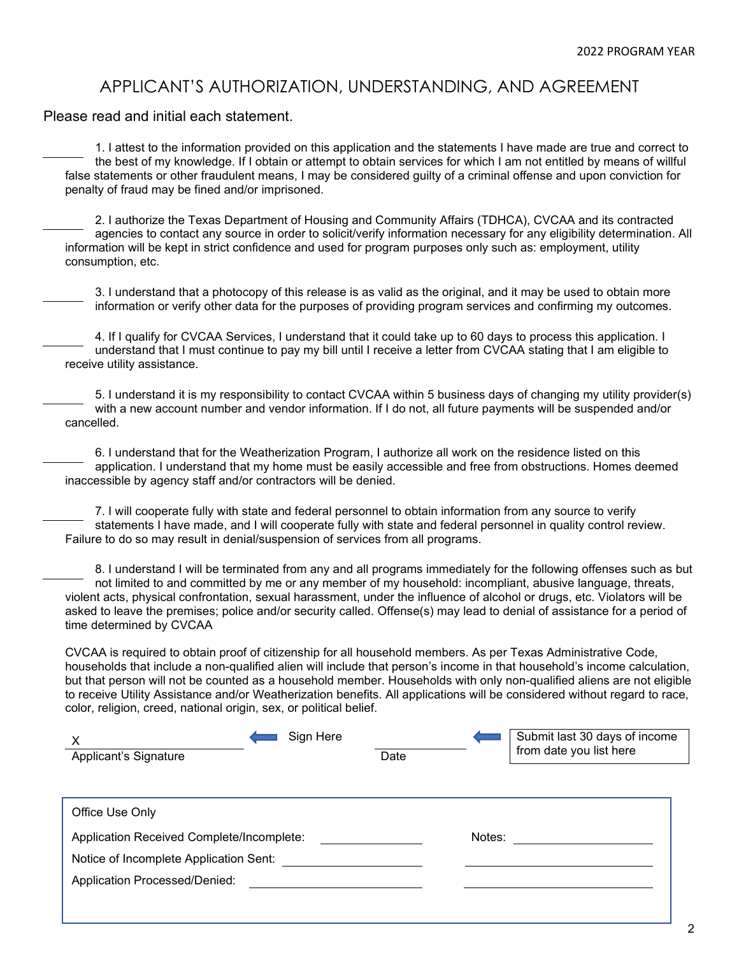# APPLICANT'S AUTHORIZATION, UNDERSTANDING, AND AGREEMENT

Please read and initial each statement.

1. I attest to the information provided on this application and the statements I have made are true and correct to the best of my knowledge. If I obtain or attempt to obtain services for which I am not entitled by means of willful false statements or other fraudulent means, I may be considered guilty of a criminal offense and upon conviction for penalty of fraud may be fined and/or imprisoned.

2. I authorize the Texas Department of Housing and Community Affairs (TDHCA), CVCAA and its contracted agencies to contact any source in order to solicit/verify information necessary for any eligibility determination. All information will be kept in strict confidence and used for program purposes only such as: employment, utility consumption, etc.

3. I understand that a photocopy of this release is as valid as the original, and it may be used to obtain more information or verify other data for the purposes of providing program services and confirming my outcomes.

4. If I qualify for CVCAA Services, I understand that it could take up to 60 days to process this application. I understand that I must continue to pay my bill until I receive a letter from CVCAA stating that I am eligible to receive utility assistance.

5. I understand it is my responsibility to contact CVCAA within 5 business days of changing my utility provider(s) with a new account number and vendor information. If I do not, all future payments will be suspended and/or cancelled.

6. I understand that for the Weatherization Program, I authorize all work on the residence listed on this application. I understand that my home must be easily accessible and free from obstructions. Homes deemed inaccessible by agency staff and/or contractors will be denied.

7. I will cooperate fully with state and federal personnel to obtain information from any source to verify statements I have made, and I will cooperate fully with state and federal personnel in quality control review. Failure to do so may result in denial/suspension of services from all programs.

8. I understand I will be terminated from any and all programs immediately for the following offenses such as but not limited to and committed by me or any member of my household: incompliant, abusive language, threats, violent acts, physical confrontation, sexual harassment, under the influence of alcohol or drugs, etc. Violators will be asked to leave the premises; police and/or security called. Offense(s) may lead to denial of assistance for a period of time determined by CVCAA

CVCAA is required to obtain proof of citizenship for all household members. As per Texas Administrative Code, households that include a non-qualified alien will include that person's income in that household's income calculation, but that person will not be counted as a household member. Households with only non-qualified aliens are not eligible to receive Utility Assistance and/or Weatherization benefits. All applications will be considered without regard to race, color, religion, creed, national origin, sex, or political belief.

| X<br>Applicant's Signature                | Sign Here | Date |        | Submit last 30 days of income<br>from date you list here |
|-------------------------------------------|-----------|------|--------|----------------------------------------------------------|
|                                           |           |      |        |                                                          |
| Office Use Only                           |           |      |        |                                                          |
| Application Received Complete/Incomplete: |           |      | Notes: |                                                          |
| Notice of Incomplete Application Sent:    |           |      |        |                                                          |
| Application Processed/Denied:             |           |      |        |                                                          |
|                                           |           |      |        |                                                          |